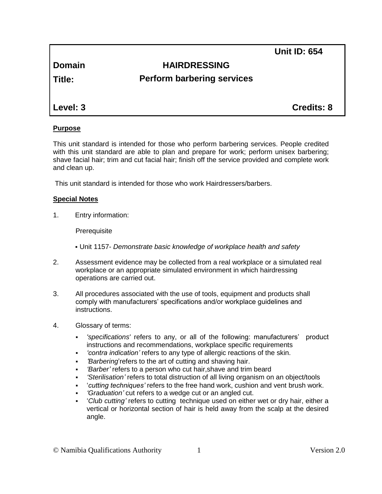**Unit ID: 654**

# **Domain HAIRDRESSING**

# **Title: Perform barbering services**

**Level: 3 Credits: 8**

# **Purpose**

This unit standard is intended for those who perform barbering services. People credited with this unit standard are able to plan and prepare for work; perform unisex barbering; shave facial hair; trim and cut facial hair; finish off the service provided and complete work and clean up.

This unit standard is intended for those who work Hairdressers/barbers.

# **Special Notes**

1. Entry information:

Prerequisite

- Unit 1157- *Demonstrate basic knowledge of workplace health and safety*
- 2. Assessment evidence may be collected from a real workplace or a simulated real workplace or an appropriate simulated environment in which hairdressing operations are carried out.
- 3. All procedures associated with the use of tools, equipment and products shall comply with manufacturers' specifications and/or workplace guidelines and instructions.
- 4. Glossary of terms:
	- *'specifications'* refers to any, or all of the following: manufacturers' product instructions and recommendations, workplace specific requirements
	- *'contra indication'* refers to any type of allergic reactions of the skin.
	- *'Barbering*'refers to the art of cutting and shaving hair.
	- *'Barber'* refers to a person who cut hair,shave and trim beard
	- *'Sterilisation'* refers to total distruction of all living organism on an object/tools
	- '*cutting techniques'* refers to the free hand work, cushion and vent brush work.
	- *'Graduation'* cut refers to a wedge cut or an angled cut.
	- '*Club cutting'* refers to cutting technique used on either wet or dry hair, either a vertical or horizontal section of hair is held away from the scalp at the desired angle.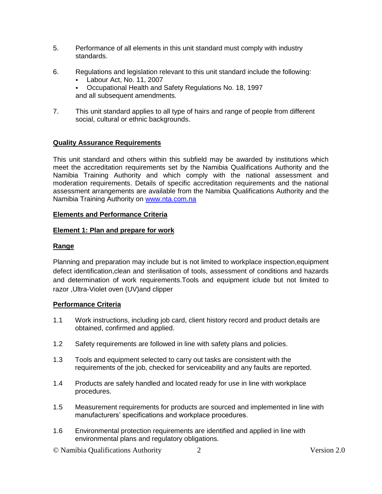- 5. Performance of all elements in this unit standard must comply with industry standards.
- 6. Regulations and legislation relevant to this unit standard include the following:
	- Labour Act, No. 11, 2007
	- Occupational Health and Safety Regulations No. 18, 1997 and all subsequent amendments.
- 7. This unit standard applies to all type of hairs and range of people from different social, cultural or ethnic backgrounds.

## **Quality Assurance Requirements**

This unit standard and others within this subfield may be awarded by institutions which meet the accreditation requirements set by the Namibia Qualifications Authority and the Namibia Training Authority and which comply with the national assessment and moderation requirements. Details of specific accreditation requirements and the national assessment arrangements are available from the Namibia Qualifications Authority and the Namibia Training Authority on [www.nta.com.na](http://www.nta.com.na/)

### **Elements and Performance Criteria**

### **Element 1: Plan and prepare for work**

## **Range**

Planning and preparation may include but is not limited to workplace inspection,equipment defect identification,clean and sterilisation of tools, assessment of conditions and hazards and determination of work requirements.Tools and equipment iclude but not limited to razor ,Ultra-Violet oven (UV)and clipper

### **Performance Criteria**

- 1.1 Work instructions, including job card, client history record and product details are obtained, confirmed and applied.
- 1.2 Safety requirements are followed in line with safety plans and policies.
- 1.3 Tools and equipment selected to carry out tasks are consistent with the requirements of the job, checked for serviceability and any faults are reported.
- 1.4 Products are safely handled and located ready for use in line with workplace procedures.
- 1.5 Measurement requirements for products are sourced and implemented in line with manufacturers' specifications and workplace procedures.
- 1.6 Environmental protection requirements are identified and applied in line with environmental plans and regulatory obligations.

© Namibia Qualifications Authority 2 Version 2.0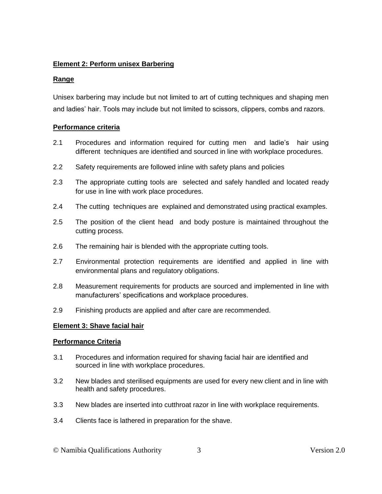## **Element 2: Perform unisex Barbering**

### **Range**

Unisex barbering may include but not limited to art of cutting techniques and shaping men and ladies' hair. Tools may include but not limited to scissors, clippers, combs and razors.

## **Performance criteria**

- 2.1 Procedures and information required for cutting men and ladie's hair using different techniques are identified and sourced in line with workplace procedures.
- 2.2 Safety requirements are followed inline with safety plans and policies
- 2.3 The appropriate cutting tools are selected and safely handled and located ready for use in line with work place procedures.
- 2.4 The cutting techniques are explained and demonstrated using practical examples.
- 2.5 The position of the client head and body posture is maintained throughout the cutting process.
- 2.6 The remaining hair is blended with the appropriate cutting tools.
- 2.7 Environmental protection requirements are identified and applied in line with environmental plans and regulatory obligations.
- 2.8 Measurement requirements for products are sourced and implemented in line with manufacturers' specifications and workplace procedures.
- 2.9 Finishing products are applied and after care are recommended.

# **Element 3: Shave facial hair**

### **Performance Criteria**

- 3.1 Procedures and information required for shaving facial hair are identified and sourced in line with workplace procedures.
- 3.2 New blades and sterilised equipments are used for every new client and in line with health and safety procedures.
- 3.3 New blades are inserted into cutthroat razor in line with workplace requirements.
- 3.4 Clients face is lathered in preparation for the shave.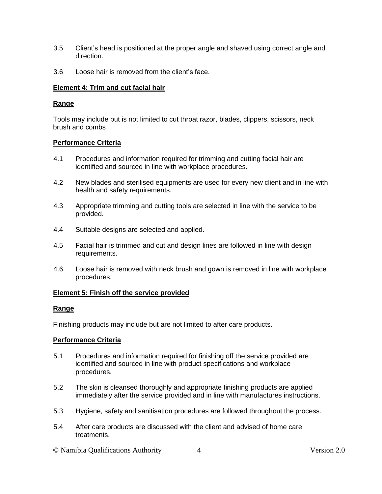- 3.5 Client's head is positioned at the proper angle and shaved using correct angle and direction.
- 3.6 Loose hair is removed from the client's face.

#### **Element 4: Trim and cut facial hair**

#### **Range**

Tools may include but is not limited to cut throat razor, blades, clippers, scissors, neck brush and combs

#### **Performance Criteria**

- 4.1 Procedures and information required for trimming and cutting facial hair are identified and sourced in line with workplace procedures.
- 4.2 New blades and sterilised equipments are used for every new client and in line with health and safety requirements.
- 4.3 Appropriate trimming and cutting tools are selected in line with the service to be provided.
- 4.4 Suitable designs are selected and applied.
- 4.5 Facial hair is trimmed and cut and design lines are followed in line with design requirements.
- 4.6 Loose hair is removed with neck brush and gown is removed in line with workplace procedures.

### **Element 5: Finish off the service provided**

#### **Range**

Finishing products may include but are not limited to after care products.

#### **Performance Criteria**

- 5.1 Procedures and information required for finishing off the service provided are identified and sourced in line with product specifications and workplace procedures.
- 5.2 The skin is cleansed thoroughly and appropriate finishing products are applied immediately after the service provided and in line with manufactures instructions.
- 5.3 Hygiene, safety and sanitisation procedures are followed throughout the process.
- 5.4 After care products are discussed with the client and advised of home care treatments.
- © Namibia Qualifications Authority 4 Version 2.0